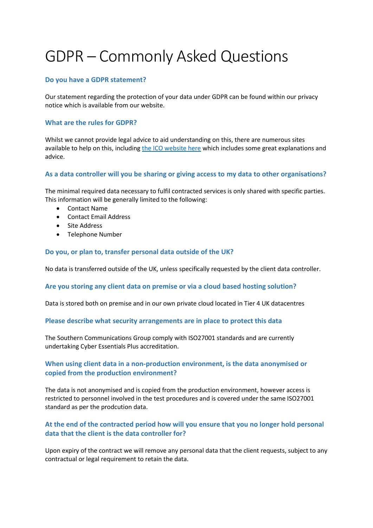# GDPR – Commonly Asked Questions

#### **Do you have a GDPR statement?**

Our statement regarding the protection of your data under GDPR can be found within our privacy notice which is available from our website.

# **What are the rules for GDPR?**

Whilst we cannot provide legal advice to aid understanding on this, there are numerous sites available to help on this, including the ICO [website here](https://ico.org.uk/for-organisations/guide-to-the-general-data-protection-regulation-gdpr/) which includes some great explanations and advice.

# **As a data controller will you be sharing or giving access to my data to other organisations?**

The minimal required data necessary to fulfil contracted services is only shared with specific parties. This information will be generally limited to the following:

- Contact Name
- Contact Email Address
- Site Address
- Telephone Number

# **Do you, or plan to, transfer personal data outside of the UK?**

No data is transferred outside of the UK, unless specifically requested by the client data controller.

#### **Are you storing any client data on premise or via a cloud based hosting solution?**

Data is stored both on premise and in our own private cloud located in Tier 4 UK datacentres

#### **Please describe what security arrangements are in place to protect this data**

The Southern Communications Group comply with ISO27001 standards and are currently undertaking Cyber Essentials Plus accreditation.

# **When using client data in a non-production environment, is the data anonymised or copied from the production environment?**

The data is not anonymised and is copied from the production environment, however access is restricted to personnel involved in the test procedures and is covered under the same ISO27001 standard as per the prodcution data.

# **At the end of the contracted period how will you ensure that you no longer hold personal data that the client is the data controller for?**

Upon expiry of the contract we will remove any personal data that the client requests, subject to any contractual or legal requirement to retain the data.